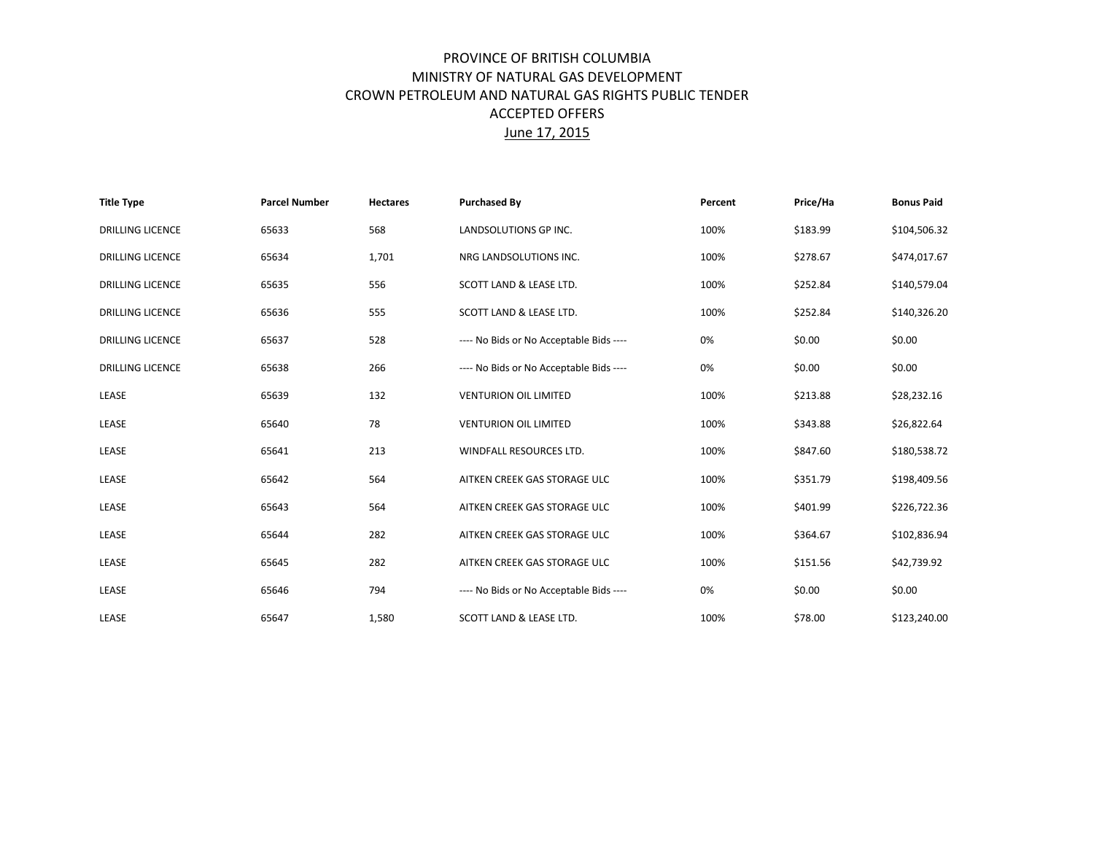## PROVINCE OF BRITISH COLUMBIA MINISTRY OF NATURAL GAS DEVELOPMENT CROWN PETROLEUM AND NATURAL GAS RIGHTS PUBLIC TENDER ACCEPTED OFFERS June 17, 2015

| <b>Title Type</b>       | <b>Parcel Number</b> | <b>Hectares</b> | <b>Purchased By</b>                     | Percent | Price/Ha | <b>Bonus Paid</b> |
|-------------------------|----------------------|-----------------|-----------------------------------------|---------|----------|-------------------|
| <b>DRILLING LICENCE</b> | 65633                | 568             | LANDSOLUTIONS GP INC.                   | 100%    | \$183.99 | \$104,506.32      |
| <b>DRILLING LICENCE</b> | 65634                | 1,701           | NRG LANDSOLUTIONS INC.                  | 100%    | \$278.67 | \$474,017.67      |
| <b>DRILLING LICENCE</b> | 65635                | 556             | SCOTT LAND & LEASE LTD.                 | 100%    | \$252.84 | \$140,579.04      |
| <b>DRILLING LICENCE</b> | 65636                | 555             | SCOTT LAND & LEASE LTD.                 | 100%    | \$252.84 | \$140,326.20      |
| <b>DRILLING LICENCE</b> | 65637                | 528             | ---- No Bids or No Acceptable Bids ---- | 0%      | \$0.00   | \$0.00            |
| <b>DRILLING LICENCE</b> | 65638                | 266             | ---- No Bids or No Acceptable Bids ---- | 0%      | \$0.00   | \$0.00            |
| LEASE                   | 65639                | 132             | <b>VENTURION OIL LIMITED</b>            | 100%    | \$213.88 | \$28,232.16       |
| LEASE                   | 65640                | 78              | <b>VENTURION OIL LIMITED</b>            | 100%    | \$343.88 | \$26,822.64       |
| LEASE                   | 65641                | 213             | WINDFALL RESOURCES LTD.                 | 100%    | \$847.60 | \$180,538.72      |
| LEASE                   | 65642                | 564             | AITKEN CREEK GAS STORAGE ULC            | 100%    | \$351.79 | \$198,409.56      |
| LEASE                   | 65643                | 564             | AITKEN CREEK GAS STORAGE ULC            | 100%    | \$401.99 | \$226,722.36      |
| LEASE                   | 65644                | 282             | AITKEN CREEK GAS STORAGE ULC            | 100%    | \$364.67 | \$102,836.94      |
| LEASE                   | 65645                | 282             | AITKEN CREEK GAS STORAGE ULC            | 100%    | \$151.56 | \$42,739.92       |
| LEASE                   | 65646                | 794             | ---- No Bids or No Acceptable Bids ---- | 0%      | \$0.00   | \$0.00            |
| LEASE                   | 65647                | 1,580           | SCOTT LAND & LEASE LTD.                 | 100%    | \$78.00  | \$123,240.00      |